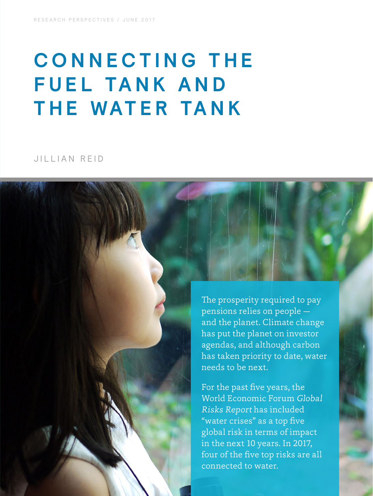# **C O N N E C T I N G T H E FUEL TANK AND THE WATER TANK**

# JILLIAN REID

The prosperity required to pay pensions relies on people and the planet. Climate change has put the planet on investor agendas, and although carbon has taken priority to date, water needs to be next.

For the past five years, the World Economic Forum Global Risks Report has included "water crises" as a top five global risk in terms of impact in the next 10 years. In 2017, four of the five top risks are all connected to water.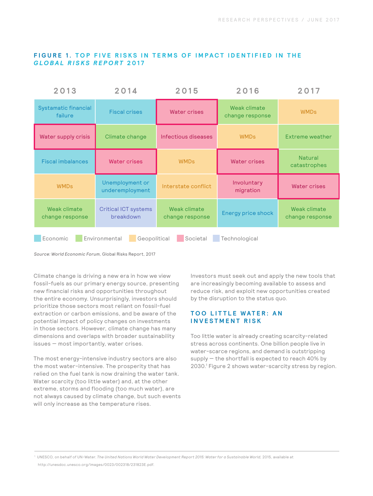#### **FIGURE 1. TOP FIVE RISKS IN TERMS OF IMPACT IDENTIFIED IN THE** *GLOBAL RISKS REPORT* **2017**

| 2013                                                                   | 2014                                     | 2015                            | 2016                            | 2017                            |
|------------------------------------------------------------------------|------------------------------------------|---------------------------------|---------------------------------|---------------------------------|
| <b>Systamatic financial</b><br>failure                                 | <b>Fiscal crises</b>                     | <b>Water crises</b>             | Weak climate<br>change response | <b>WMDs</b>                     |
| Water supply crisis                                                    | Climate change                           | Infectious diseases             | <b>WMDs</b>                     | Extreme weather                 |
| <b>Fiscal imbalances</b>                                               | <b>Water crises</b>                      | <b>WMDs</b>                     | <b>Water crises</b>             | <b>Natural</b><br>catastrophes  |
| <b>WMDs</b>                                                            | Unemployment or<br>underemployment       | Interstate conflict             | Involuntary<br>migration        | <b>Water crises</b>             |
| Weak climate<br>change response                                        | <b>Critical ICT systems</b><br>breakdown | Weak climate<br>change response | Energy price shock              | Weak climate<br>change response |
| Economic<br>Environmental<br>Societal<br>Geopolitical<br>Technological |                                          |                                 |                                 |                                 |

*Source: World Economic Forum,* Global Risks Report, 2017

Climate change is driving a new era in how we view fossil-fuels as our primary energy source, presenting new financial risks and opportunities throughout the entire economy. Unsurprisingly, investors should prioritize those sectors most reliant on fossil-fuel extraction or carbon emissions, and be aware of the potential impact of policy changes on investments in those sectors. However, climate change has many dimensions and overlaps with broader sustainability issues — most importantly, water crises.

The most energy-intensive industry sectors are also the most water-intensive. The prosperity that has relied on the fuel tank is now draining the water tank. Water scarcity (too little water) and, at the other extreme, storms and flooding (too much water), are not always caused by climate change, but such events will only increase as the temperature rises.

Investors must seek out and apply the new tools that are increasingly becoming available to assess and reduce risk, and exploit new opportunities created by the disruption to the status quo.

Too little water is already creating scarcity-related stress across continents. One billion people live in water-scarce regions, and demand is outstripping supply — the shortfall is expected to reach 40% by 2030.1 Figure 2 shows water-scarcity stress by region.

1 UNESCO, on behalf of UN-Water. *The United Nations World Water Development Report 2015: Water for a Sustainable World,* 2015, available at http://unesdoc.unesco.org/images/0023/002318/231823E.pdf.

#### **TOO LITTLE WATER: AN INVESTMENT RISK**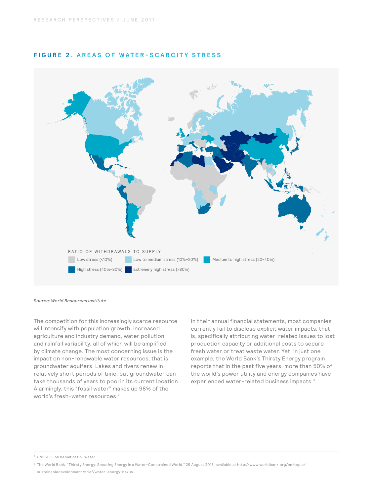

#### **FIGURE 2. AREAS OF WATER-SCARCITY STRESS**

*Source: World Resources Institute* 

The competition for this increasingly scarce resource will intensify with population growth, increased agriculture and industry demand, water pollution and rainfall variability, all of which will be amplified by climate change. The most concerning issue is the impact on non-renewable water resources; that is, groundwater aquifers. Lakes and rivers renew in relatively short periods of time, but groundwater can take thousands of years to pool in its current location. Alarmingly, this "fossil water" makes up 98% of the world's fresh-water resources.<sup>2</sup>

In their annual financial statements, most companies currently fail to disclose explicit water impacts; that is, specifically attributing water-related issues to lost production capacity or additional costs to secure fresh water or treat waste water. Yet, in just one example, the World Bank's Thirsty Energy program reports that in the past five years, more than 50% of the world's power utility and energy companies have experienced water-related business impacts.3

2 UNESCO, on behalf of UN-Water.

<sup>3</sup> The World Bank. "Thirsty Energy: Securing Energy in a Water-Constrained World," 29 August 2013, available at http://www.worldbank.org/en/topic/ sustainabledevelopment/brief/water-energy-nexus.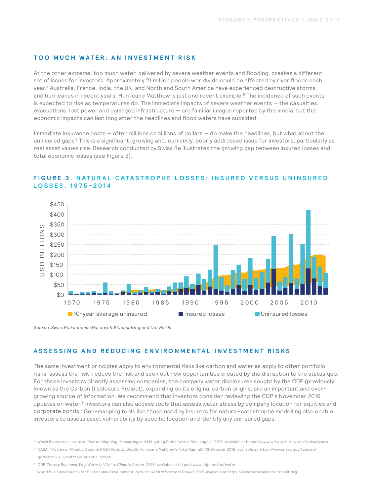#### **TOO MUCH WATER: AN INVESTMENT RISK**

At the other extreme, too much water, delivered by severe weather events and flooding, creates a different set of issues for investors. Approximately 21 million people worldwide could be affected by river floods each year.4 Australia, France, India, the UK, and North and South America have experienced destructive storms and hurricanes in recent years; Hurricane Matthew is just one recent example.<sup>5</sup> The incidence of such events is expected to rise as temperatures do. The immediate impacts of severe weather events — the casualties, evacuations, lost power and damaged infrastructure — are familiar images reported by the media, but the economic impacts can last long after the headlines and flood waters have subsided.

Immediate insurance costs — often millions or billions of dollars — do make the headlines, but what about the uninsured gaps? This is a significant, growing and, currently, poorly addressed issue for investors, particularly as real asset values rise. Research conducted by Swiss Re illustrates the growing gap between insured losses and total economic losses (see Figure 3).



### **FIGURE 3. NATURAL CATASTROPHE LOSSES: INSURED VERSUS UNINSURED LOSSES, 1975–2014**

*Source: Swiss Re Economic Research & Consulting and Cat Perils* 

#### **ASSESSING AND REDUCING ENVIRONMENTAL INVESTMENT RISKS**

The same investment principles apply to environmental risks like carbon and water as apply to other portfolio risks: assess the risk, reduce the risk and seek out new opportunities created by the disruption to the status quo. For those investors directly assessing companies, the company water disclosures sought by the CDP (previously known as the Carbon Disclosure Project), expanding on its original carbon origins, are an important and evergrowing source of information. We recommend that investors consider reviewing the CDP's November 2016 updates on water.<sup>6</sup> Investors can also access tools that assess water stress by company location for equities and corporate bonds.7 Geo-mapping tools like those used by insurers for natural-catastrophe modelling also enable investors to assess asset vulnerability by specific location and identify any uninsured gaps.

<sup>4</sup> World Resources Institute. "Water: Mapping, Measuring and Mitigating Global Water Challenges," 2015, available at https://www.wri.org/our-work/topics/water.

<sup>5</sup> NASA. "Matthew (Atlantic Ocean): NASA Adds Up Deadly Hurricane Matthew's Total Rainfall," 13 October 2016, available at https://www.nasa.gov/feature/ goddard/2016/matthew-atlantic-ocean.

<sup>6</sup> CDP. *Thirsty Business: Why Water Is Vital to Climate Action,* 2016, available at https://www.cdp.net/en/water.

<sup>7</sup> World Business Council for Sustainable Development. *Natural Capital Protocol Toolkit,* 2017, available at https://www.naturalcapitaltoolkit.org.